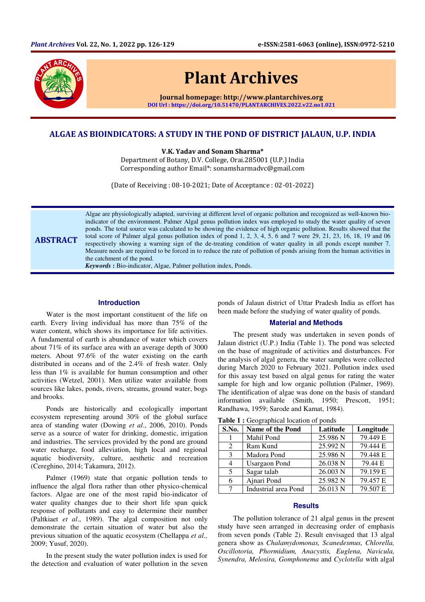

# Plant Archives

Journal homepage: http://www.plantarchives.org DOI Url : https://doi.org/10.51470/PLANTARCHIVES.2022.v22.no1.021

# ALGAE AS BIOINDICATORS: A STUDY IN THE POND OF DISTRICT JALAUN, U.P. INDIA

V.K. Yadav and Sonam Sharma\*

Department of Botany, D.V. College, Orai.285001 (U.P.) India Corresponding author Email\*: sonamsharmadvc@gmail.com

(Date of Receiving : 08-10-2021; Date of Acceptance : 02-01-2022)

ABSTRACT Algae are physiologically adapted, surviving at different level of organic pollution and recognized as well-known bioindicator of the environment. Palmer Algal genus pollution index was employed to study the water quality of seven ponds. The total source was calculated to be showing the evidence of high organic pollution. Results showed that the total score of Palmer algal genus pollution index of pond 1, 2, 3, 4, 5, 6 and 7 were 29, 21, 23, 16, 18, 19 and 06 respectively showing a warning sign of the de-treating condition of water quality in all ponds except number 7. Measure needs are required to be forced in to reduce the rate of pollution of ponds arising from the human activities in the catchment of the pond.

*Keywords* **:** Bio-indicator, Algae, Palmer pollution index, Ponds.

### **Introduction**

Water is the most important constituent of the life on earth. Every living individual has more than 75% of the water content, which shows its importance for life activities. A fundamental of earth is abundance of water which covers about 71% of its surface area with an average depth of 3000 meters. About 97.6% of the water existing on the earth distributed in oceans and of the 2.4% of fresh water. Only less than 1% is available for human consumption and other activities (Wetzel, 2001). Men utilize water available from sources like lakes, ponds, rivers, streams, ground water, bogs and brooks.

Ponds are historically and ecologically important ecosystem representing around 30% of the global surface area of standing water (Dowing *et al*., 2006, 2010). Ponds serve as a source of water for drinking, domestic, irrigation and industries. The services provided by the pond are ground water recharge, food alleviation, high local and regional aquatic biodiversity, culture, aesthetic and recreation (Cereghino, 2014; Takamura, 2012).

Palmer (1969) state that organic pollution tends to influence the algal flora rather than other physico-chemical factors. Algae are one of the most rapid bio-indicator of water quality changes due to their short life span quick response of pollutants and easy to determine their number (Paltkiaet *et al*., 1989). The algal composition not only demonstrate the certain situation of water but also the previous situation of the aquatic ecosystem (Chellappa *et al.,* 2009; Yusuf, 2020).

In the present study the water pollution index is used for the detection and evaluation of water pollution in the seven ponds of Jalaun district of Uttar Pradesh India as effort has been made before the studying of water quality of ponds.

#### **Material and Methods**

The present study was undertaken in seven ponds of Jalaun district (U.P.) India (Table 1). The pond was selected on the base of magnitude of activities and disturbances. For the analysis of algal genera, the water samples were collected during March 2020 to February 2021. Pollution index used for this assay test based on algal genus for rating the water sample for high and low organic pollution (Palmer, 1969). The identification of algae was done on the basis of standard information available (Smith, 1950; Prescott, 1951; Randhawa, 1959; Sarode and Kamat, 1984).

Table 1 : Geographical location of ponds

| S.No.         | Name of the Pond     | Latitude | Longitude             |
|---------------|----------------------|----------|-----------------------|
|               | Mahil Pond           | 25.986 N | 79.449 E              |
| 2             | Ram Kund             | 25.992 N | 79.444 E              |
| $\mathcal{E}$ | Madora Pond          | 25.986 N | 79.448 E              |
| 4             | <b>Usargaon Pond</b> | 26.038 N | 79.44 E               |
| .5            | Sagar talab          | 26.003 N | $\overline{79.159}$ E |
| 6             | Ajnari Pond          | 25.982 N | 79.457 E              |
| 7             | Industrial area Pond | 26.013 N | 79.507 E              |

#### **Results**

The pollution tolerance of 21 algal genus in the present study have seen arranged in decreasing order of emphasis from seven ponds (Table 2). Result envisaged that 13 algal genera show as *Chalamydomonas, Scanedesmus, Chlorella, Oscillotoria, Phormidium, Anacystis, Euglena, Navicula, Synendra, Melosira, Gomphonema* and *Cyclotella* with algal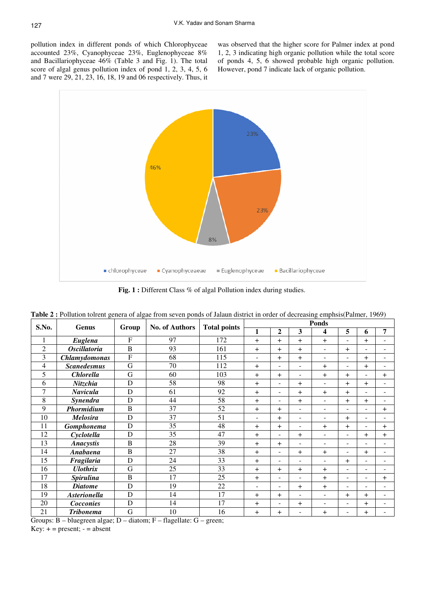pollution index in different ponds of which Chlorophyceae accounted 23%, Cyanophyceae 23%, Euglenophyceae 8% and Bacillariophyceae 46% (Table 3 and Fig. 1). The total score of algal genus pollution index of pond 1, 2, 3, 4, 5, 6 and 7 were 29, 21, 23, 16, 18, 19 and 06 respectively. Thus, it

was observed that the higher score for Palmer index at pond 1, 2, 3 indicating high organic pollution while the total score of ponds 4, 5, 6 showed probable high organic pollution. However, pond 7 indicate lack of organic pollution.



Fig. 1 : Different Class % of algal Pollution index during studies.

| S.No.          | Genus                                      | Group                   | No. of Authors                                | <b>Total points</b> | <b>Ponds</b>             |                          |                          |                          |                          |                          |                |
|----------------|--------------------------------------------|-------------------------|-----------------------------------------------|---------------------|--------------------------|--------------------------|--------------------------|--------------------------|--------------------------|--------------------------|----------------|
|                |                                            |                         |                                               |                     | $\mathbf{1}$             | 2                        | 3                        | 4                        | 5                        | 6                        | 7              |
| 1              | Euglena                                    | F                       | 97                                            | 172                 | $+$                      | $^{+}$                   | $+$                      | $\overline{+}$           |                          | $\overline{+}$           |                |
| $\overline{2}$ | <b>Oscillatoria</b>                        | B                       | 93                                            | 161                 | $+$                      | $^{+}$                   | $+$                      | $\overline{a}$           | $+$                      |                          |                |
| 3              | <b>Chlamydomonas</b>                       | $\mathbf{F}$            | 68                                            | 115                 | $\overline{\phantom{a}}$ | $^{+}$                   | $\overline{+}$           | $\overline{\phantom{a}}$ | $\overline{\phantom{a}}$ | $^{+}$                   | $\equiv$       |
| 4              | <b>Scanedesmus</b>                         | G                       | 70                                            | 112                 | $+$                      | $\blacksquare$           | $\blacksquare$           | $\pm$                    | $\overline{\phantom{a}}$ | $\overline{+}$           |                |
| 5              | <b>Chlorella</b>                           | G                       | 60                                            | 103                 | $+$                      | $^{+}$                   | $\overline{\phantom{a}}$ | $^{+}$                   | $^{+}$                   | ۰                        | $^{+}$         |
| 6              | Nitzchia                                   | D                       | 58                                            | 98                  | $\pm$                    | ۰                        | $\overline{+}$           |                          | $\overline{+}$           | $\overline{+}$           |                |
| $\overline{7}$ | <b>Navicula</b>                            | D                       | 61                                            | 92                  | $+$                      | ٠                        | $+$                      | $\pm$                    | $+$                      |                          |                |
| 8              | Synendra                                   | D                       | 44                                            | 58                  | $+$                      | $\overline{\phantom{a}}$ | $\overline{+}$           | $\sim$                   | $+$                      | $^{+}$                   | ۰              |
| 9              | Phormidium                                 | $\, {\bf B}$            | 37                                            | 52                  | $\pm$                    | $^{+}$                   | ٠                        | $\blacksquare$           |                          |                          | $\overline{+}$ |
| 10             | <b>Melosira</b>                            | D                       | 37                                            | 51                  | $\overline{\phantom{0}}$ | $\overline{+}$           | ÷                        | $\overline{a}$           | $\overline{+}$           |                          |                |
| 11             | Gomphonema                                 | D                       | 35                                            | 48                  | $\pm$                    | $^{+}$                   |                          | $\pm$                    | $^{+}$                   |                          | $\pm$          |
| 12             | Cyclotella                                 | D                       | 35                                            | 47                  | $+$                      | ٠                        | $\overline{+}$           | $\overline{\phantom{a}}$ | $\overline{\phantom{a}}$ | $\overline{+}$           | $\pm$          |
| 13             | <b>Anacystis</b>                           | B                       | 28                                            | 39                  | $+$                      | $+$                      | $\blacksquare$           | $\overline{\phantom{a}}$ | $\overline{\phantom{a}}$ | $\overline{\phantom{0}}$ |                |
| 14             | Anabaena                                   | B                       | 27                                            | 38                  | $+$                      |                          | $\overline{+}$           | $^{+}$                   |                          | $^{+}$                   |                |
| 15             | Fragilaria                                 | D                       | 24                                            | 33                  | $\pm$                    | ۰                        |                          |                          | $^{+}$                   |                          |                |
| 16             | <b>Ulothrix</b>                            | G                       | 25                                            | 33                  | $+$                      | $^{+}$                   | $\overline{+}$           | $^{+}$                   | $\sim$                   | ۰                        |                |
| 17             | <b>Spirulina</b>                           | $\, {\bf B}$            | 17                                            | 25                  | $+$                      | $\overline{\phantom{0}}$ | $\overline{a}$           | $\overline{+}$           | $\blacksquare$           |                          | $\pm$          |
| 18             | <b>Diatome</b>                             | D                       | 19                                            | 22                  | $\overline{\phantom{0}}$ | ۰                        | $\overline{+}$           | $\overline{+}$           | $\overline{\phantom{a}}$ | $\equiv$                 |                |
| 19             | <b>Asterionella</b>                        | D                       | 14                                            | 17                  | $\pm$                    | $^{+}$                   | $\blacksquare$           | $\overline{\phantom{a}}$ | $\overline{+}$           | $\overline{+}$           |                |
| 20             | Cocconies                                  | D                       | 14                                            | 17                  | $+$                      |                          | $\overline{+}$           | ۰                        |                          | $\overline{+}$           |                |
| 21             | <b>Tribonema</b><br>$\sim$<br>$\mathbf{1}$ | G<br>$\sim$<br>$\cdots$ | 10<br>$\sim$<br>$\sim$<br>$\bullet$<br>$\sim$ | 16                  | $+$                      | $\overline{+}$           | ۰                        | $\pm$                    | -                        | $^{+}$                   |                |

|  | <b>Table 2:</b> Pollution tolrent genera of algae from seven ponds of Jalaun district in order of decreasing emphsis (Palmer, 1969) |
|--|-------------------------------------------------------------------------------------------------------------------------------------|
|  |                                                                                                                                     |

Groups: B – bluegreen algae; D – diatom; F – flagellate: G – green;

 $Key: += present; - = absent$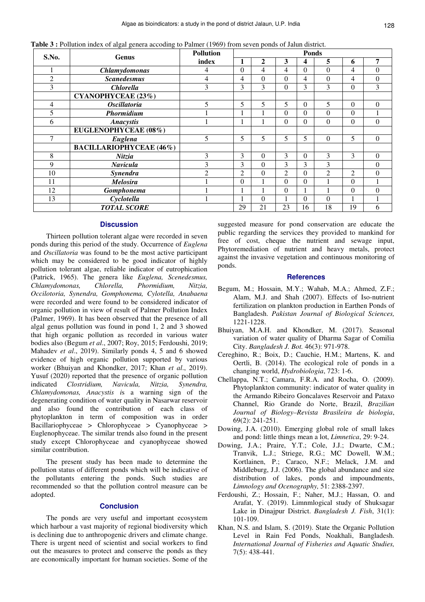|  | Table 3 : Pollution index of algal genera accoding to Palmer (1969) from seven ponds of Jalun district. |  |
|--|---------------------------------------------------------------------------------------------------------|--|
|  |                                                                                                         |  |

| S.No.          | Genus                          | <b>Pollution</b> | <b>Ponds</b>   |              |                  |                         |                |                |                  |
|----------------|--------------------------------|------------------|----------------|--------------|------------------|-------------------------|----------------|----------------|------------------|
|                |                                | index            | 1              | 2            | 3                | $\overline{\mathbf{4}}$ | 5              | 6              | 7                |
|                | <b>Chlamydomonas</b>           | 4                | $\theta$       | 4            | $\overline{4}$   | $\Omega$                | $\Omega$       | 4              | $\mathbf{0}$     |
| $\overline{2}$ | <b>Scanedesmus</b>             | 4                | 4              | $\mathbf{0}$ | $\Omega$         | 4                       | $\Omega$       | 4              | $\boldsymbol{0}$ |
| $\overline{3}$ | <b>Chlorella</b>               | 3                | 3              | 3            | $\boldsymbol{0}$ | 3                       | 3              | $\theta$       | 3                |
|                | CYANOPHYCEAE (23%)             |                  |                |              |                  |                         |                |                |                  |
| 4              | <i><b>Oscillatoria</b></i>     | 5                | 5              | 5            | 5                | $\Omega$                | 5              | $\theta$       | $\mathbf{0}$     |
| 5              | Phormidium                     |                  |                |              | $\Omega$         | $\Omega$                | $\Omega$       | $\theta$       |                  |
| 6              | <b>Anacystis</b>               |                  | H              |              | $\mathbf{0}$     | $\Omega$                | $\theta$       | $\theta$       | $\mathbf{0}$     |
|                | EUGLENOPHYCEAE (08%)           |                  |                |              |                  |                         |                |                |                  |
| 7              | Euglena                        | 5                | 5              | 5            | 5                | 5                       | $\Omega$       | 5              | $\mathbf{0}$     |
|                | <b>BACILLARIOPHYCEAE (46%)</b> |                  |                |              |                  |                         |                |                |                  |
| 8              | Nitzia                         | 3                | 3              | $\theta$     | 3                | $\Omega$                | 3              | 3              | $\mathbf{0}$     |
| 9              | <b>Navicula</b>                | 3                | 3              | $\theta$     | 3                | 3                       | 3              |                | $\Omega$         |
| 10             | Synendra                       | $\overline{c}$   | $\overline{2}$ | $\theta$     | $\overline{2}$   | $\Omega$                | $\overline{2}$ | $\overline{2}$ | $\theta$         |
| 11             | <b>Melosira</b>                |                  | $\theta$       |              | $\Omega$         | $\Omega$                |                | $\theta$       | 1                |
| 12             | Gomphonema                     |                  |                |              | $\boldsymbol{0}$ |                         |                | $\mathbf{0}$   | $\mathbf{0}$     |
| 13             | Cyclotella                     |                  |                | $\Omega$     | 1                | $\Omega$                | $\Omega$       | 1              | 1                |
|                | <b>TOTAL SCORE</b>             |                  | 29             | 21           | 23               | 16                      | 18             | 19             | 6                |

#### **Discussion**

Thirteen pollution tolerant algae were recorded in seven ponds during this period of the study. Occurrence of *Euglena*  and *Oscillatoria* was found to be the most active participant which may be considered to be good indicator of highly pollution tolerant algae, reliable indicator of eutrophication (Patrick, 1965). The genera like *Euglena, Scenedesmus, Chlamydomonas, Chlorella, Phormidium, Nitzia, Occilotoria, Synendra, Gomphonema, Cylotella, Anabaena* were recorded and were found to be considered indicator of organic pollution in view of result of Palmer Pollution Index (Palmer, 1969). It has been observed that the presence of all algal genus pollution was found in pond 1, 2 and 3 showed that high organic pollution as recorded in various water bodies also (Begum *et al*., 2007; Roy, 2015; Ferdoushi, 2019; Mahadev *et al*., 2019). Similarly ponds 4, 5 and 6 showed evidence of high organic pollution supported by various worker (Bhuiyan and Khondker, 2017; Khan *et al*., 2019). Yusuf (2020) reported that the presence of organic pollution indicated *Clostridium, Navicula, Nitzia, Synendra, Chlamydomonas, Anacystis i*s a warning sign of the degenerating condition of water quality in Nasarwar reservoir and also found the contribution of each class of phytoplankton in term of composition was in order Bacillariophyceae > Chlorophyceae > Cyanophyceae > Euglenophyceae. The similar trends also found in the present study except Chlorophyceae and cyanophyceae showed similar contribution.

The present study has been made to determine the pollution status of different ponds which will be indicative of the pollutants entering the ponds. Such studies are recommended so that the pollution control measure can be adopted.

## **Conclusion**

The ponds are very useful and important ecosystem which harbour a vast majority of regional biodiversity which is declining due to anthropogenic drivers and climate change. There is urgent need of scientist and social workers to find out the measures to protect and conserve the ponds as they are economically important for human societies. Some of the

suggested measure for pond conservation are educate the public regarding the services they provided to mankind for free of cost, cheque the nutrient and sewage input, Phytoremediation of nutrient and heavy metals, protect against the invasive vegetation and continuous monitoring of ponds.

#### **References**

- Begum, M.; Hossain, M.Y.; Wahab, M.A.; Ahmed, Z.F.; Alam, M.J. and Shah (2007). Effects of Iso-nutrient fertilization on plankton production in Earthen Ponds of Bangladesh. *Pakistan Journal of Biological Sciences,* 1221-1228.
- Bhuiyan, M.A.H. and Khondker, M. (2017). Seasonal variation of water quality of Dharma Sagar of Comilia City. *Bangladesh J. Bot.* 46(3): 971-978.
- Cereghino, R.; Boix, D.; Cauchie, H.M.; Martens, K. and Oertli, B. (2014). The ecological role of ponds in a changing world, *Hydrobiologia*, 723: 1-6.
- Chellappa, N.T.; Camara, F.R.A. and Rocha, O. (2009). Phytoplankton community: indicator of water quality in the Armando Ribeiro Goncalaves Reservoir and Pataxo Channel, Rio Grande do Norte, Brazil, *Brazilian Journal of Biology–Revista Brasileira de biologia*, 69(2): 241-251.
- Dowing, J.A. (2010). Emerging global role of small lakes and pond: little things mean a lot, *Limnetica*, 29: 9-24.
- Dowing, J.A.; Praire, Y.T.; Cole, J.J.; Dwarte, C.M.; Tranvik, L.J.; Striege, R.G.; MC Dowell, W.M.; Kortlainen, P.; Caraco, N.F.; Melack, J.M. and Middleburg, J.J. (2006). The global abundance and size distribution of lakes, ponds and impoundments, *Limnology and Ocenography,* 51: 2388-2397.
- Ferdoushi, Z.; Hossain, F.; Naher, M.J.; Hassan, O. and Arafat, Y. (2019). Limnmlogical study of Shuksagar Lake in Dinajpur District. *Bangladesh J. Fish*, 31(1): 101-109.
- Khan, N.S. and Islam, S. (2019). State the Organic Pollution Level in Rain Fed Ponds, Noakhali, Bangladesh. *International Journal of Fisheries and Aquatic Studies,* 7(5): 438-441.